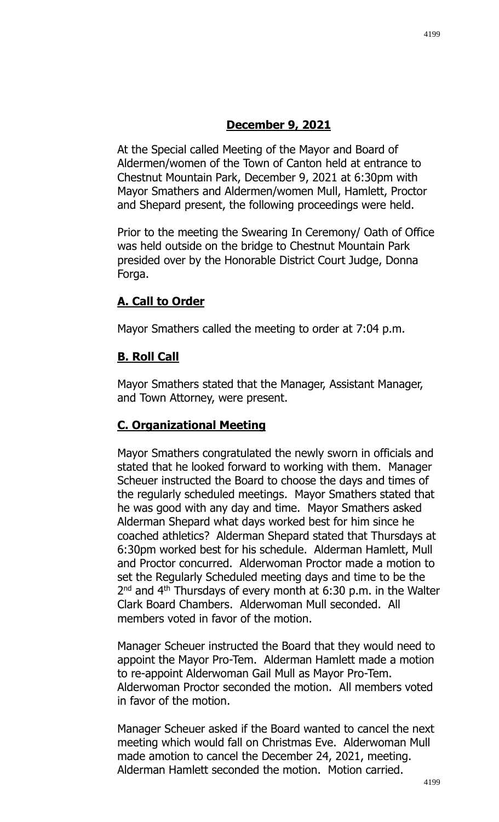At the Special called Meeting of the Mayor and Board of Aldermen/women of the Town of Canton held at entrance to Chestnut Mountain Park, December 9, 2021 at 6:30pm with Mayor Smathers and Aldermen/women Mull, Hamlett, Proctor and Shepard present, the following proceedings were held.

Prior to the meeting the Swearing In Ceremony/ Oath of Office was held outside on the bridge to Chestnut Mountain Park presided over by the Honorable District Court Judge, Donna Forga.

# **A. Call to Order**

Mayor Smathers called the meeting to order at 7:04 p.m.

# **B. Roll Call**

Mayor Smathers stated that the Manager, Assistant Manager, and Town Attorney, were present.

# **C. Organizational Meeting**

Mayor Smathers congratulated the newly sworn in officials and stated that he looked forward to working with them. Manager Scheuer instructed the Board to choose the days and times of the regularly scheduled meetings. Mayor Smathers stated that he was good with any day and time. Mayor Smathers asked Alderman Shepard what days worked best for him since he coached athletics? Alderman Shepard stated that Thursdays at 6:30pm worked best for his schedule. Alderman Hamlett, Mull and Proctor concurred. Alderwoman Proctor made a motion to set the Regularly Scheduled meeting days and time to be the  $2<sup>nd</sup>$  and 4<sup>th</sup> Thursdays of every month at 6:30 p.m. in the Walter Clark Board Chambers. Alderwoman Mull seconded. All members voted in favor of the motion.

Manager Scheuer instructed the Board that they would need to appoint the Mayor Pro-Tem. Alderman Hamlett made a motion to re-appoint Alderwoman Gail Mull as Mayor Pro-Tem. Alderwoman Proctor seconded the motion. All members voted in favor of the motion.

Manager Scheuer asked if the Board wanted to cancel the next meeting which would fall on Christmas Eve. Alderwoman Mull made amotion to cancel the December 24, 2021, meeting. Alderman Hamlett seconded the motion. Motion carried.